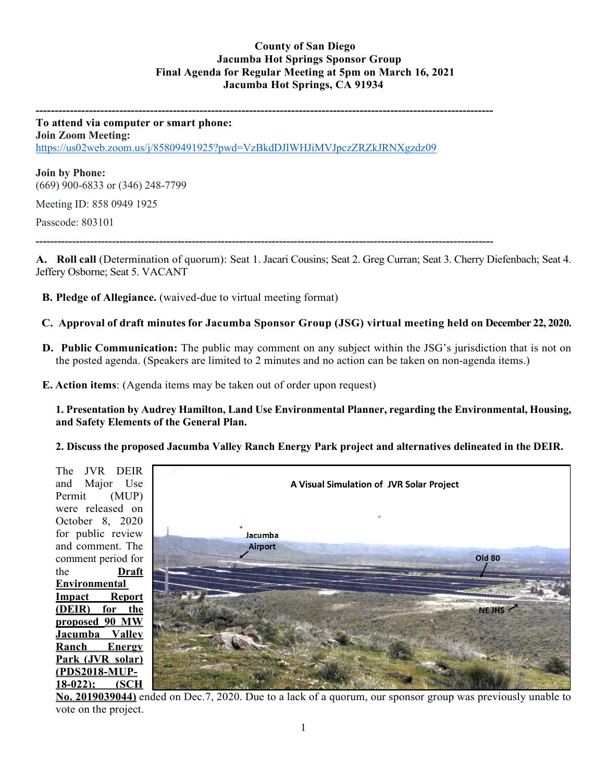## **County of San Diego Jacumba Hot Springs Sponsor Group Final Agenda for Regular Meeting at 5pm on March 16, 2021 Jacumba Hot Springs, CA 91934**

**------------------------------------------------------------------------------------------------------------------------ To attend via computer or smart phone: Join Zoom Meeting:**

<https://us02web.zoom.us/j/85809491925?pwd=VzBkdDJlWHJiMVJpczZRZkJRNXgzdz09>

**Join by Phone:** (669) 900-6833 or (346) 248-7799

Meeting ID: 858 0949 1925

Passcode: 803101

**------------------------------------------------------------------------------------------------------------------------------**

**A. Roll call** (Determination of quorum): Seat 1. Jacari Cousins; Seat 2. Greg Curran; Seat 3. Cherry Diefenbach; Seat 4. Jeffery Osborne; Seat 5. VACANT

- **B. Pledge of Allegiance.** (waived-due to virtual meeting format)
- **C. Approval of draft minutesfor Jacumba Sponsor Group (JSG) virtual meeting held on December 22, 2020.**
- **D. Public Communication:** The public may comment on any subject within the JSG's jurisdiction that is not on the posted agenda. (Speakers are limited to 2 minutes and no action can be taken on non-agenda items.)
- **E. Action items**: (Agenda items may be taken out of order upon request)

**1. Presentation by Audrey Hamilton, Land Use Environmental Planner, regarding the Environmental, Housing, and Safety Elements of the General Plan.** 

**2. Discuss the proposed Jacumba Valley Ranch Energy Park project and alternatives delineated in the DEIR.** 



**No. 2019039044)** ended on Dec.7, 2020. Due to a lack of a quorum, our sponsor group was previously unable to vote on the project.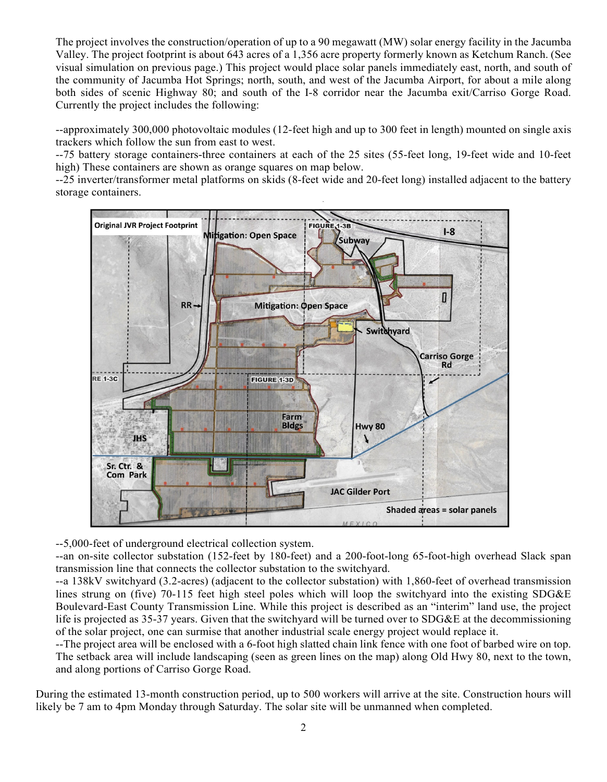The project involves the construction/operation of up to a 90 megawatt (MW) solar energy facility in the Jacumba Valley. The project footprint is about 643 acres of a 1,356 acre property formerly known as Ketchum Ranch. (See visual simulation on previous page.) This project would place solar panels immediately east, north, and south of the community of Jacumba Hot Springs; north, south, and west of the Jacumba Airport, for about a mile along both sides of scenic Highway 80; and south of the I-8 corridor near the Jacumba exit/Carriso Gorge Road. Currently the project includes the following:

--approximately 300,000 photovoltaic modules (12-feet high and up to 300 feet in length) mounted on single axis trackers which follow the sun from east to west.

--75 battery storage containers-three containers at each of the 25 sites (55-feet long, 19-feet wide and 10-feet high) These containers are shown as orange squares on map below.

--25 inverter/transformer metal platforms on skids (8-feet wide and 20-feet long) installed adjacent to the battery storage containers.



--5,000-feet of underground electrical collection system.

--an on-site collector substation (152-feet by 180-feet) and a 200-foot-long 65-foot-high overhead Slack span transmission line that connects the collector substation to the switchyard.

--a 138kV switchyard (3.2-acres) (adjacent to the collector substation) with 1,860-feet of overhead transmission lines strung on (five) 70-115 feet high steel poles which will loop the switchyard into the existing SDG&E Boulevard-East County Transmission Line. While this project is described as an "interim" land use, the project life is projected as 35-37 years. Given that the switchyard will be turned over to SDG&E at the decommissioning of the solar project, one can surmise that another industrial scale energy project would replace it.

--The project area will be enclosed with a 6-foot high slatted chain link fence with one foot of barbed wire on top. The setback area will include landscaping (seen as green lines on the map) along Old Hwy 80, next to the town, and along portions of Carriso Gorge Road.

During the estimated 13-month construction period, up to 500 workers will arrive at the site. Construction hours will likely be 7 am to 4pm Monday through Saturday. The solar site will be unmanned when completed.